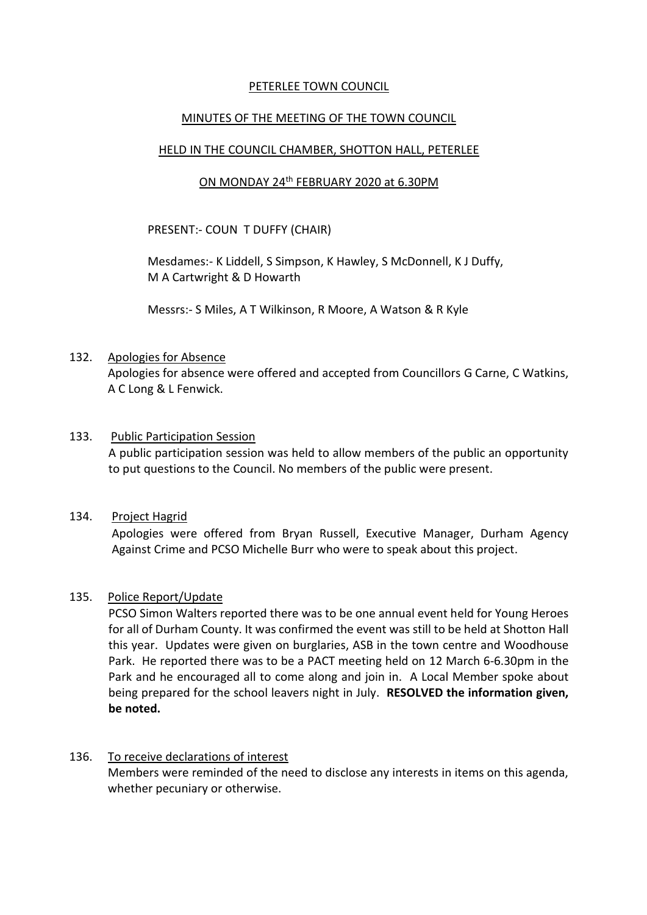## PETERLEE TOWN COUNCIL

## MINUTES OF THE MEETING OF THE TOWN COUNCIL

## HELD IN THE COUNCIL CHAMBER, SHOTTON HALL, PETERLEE

## <u>ON MONDAY 24<sup>th</sup> FEBRUARY 2020 at 6.30PM</u>

PRESENT:- COUN T DUFFY (CHAIR)

Mesdames:- K Liddell, S Simpson, K Hawley, S McDonnell, K J Duffy, M A Cartwright & D Howarth

Messrs:- S Miles, A T Wilkinson, R Moore, A Watson & R Kyle

#### 132. Apologies for Absence

Apologies for absence were offered and accepted from Councillors G Carne, C Watkins, A C Long & L Fenwick.

#### 133. Public Participation Session

A public participation session was held to allow members of the public an opportunity to put questions to the Council. No members of the public were present.

#### 134. Project Hagrid

Apologies were offered from Bryan Russell, Executive Manager, Durham Agency Against Crime and PCSO Michelle Burr who were to speak about this project.

#### 135. Police Report/Update

PCSO Simon Walters reported there was to be one annual event held for Young Heroes for all of Durham County. It was confirmed the event was still to be held at Shotton Hall this year. Updates were given on burglaries, ASB in the town centre and Woodhouse Park. He reported there was to be a PACT meeting held on 12 March 6-6.30pm in the Park and he encouraged all to come along and join in. A Local Member spoke about being prepared for the school leavers night in July. **RESOLVED the information given, be noted.**

#### 136. To receive declarations of interest

Members were reminded of the need to disclose any interests in items on this agenda, whether pecuniary or otherwise.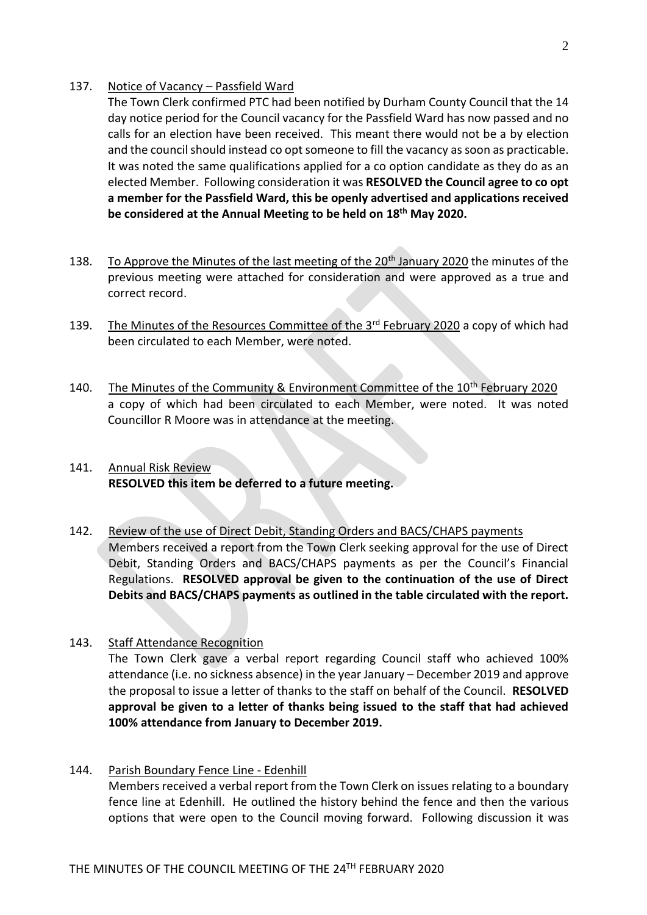#### 137. Notice of Vacancy – Passfield Ward

The Town Clerk confirmed PTC had been notified by Durham County Council that the 14 day notice period for the Council vacancy for the Passfield Ward has now passed and no calls for an election have been received. This meant there would not be a by election and the council should instead co opt someone to fill the vacancy as soon as practicable. It was noted the same qualifications applied for a co option candidate as they do as an elected Member. Following consideration it was **RESOLVED the Council agree to co opt a member for the Passfield Ward, this be openly advertised and applications received be considered at the Annual Meeting to be held on 18th May 2020.** 

- 138. To Approve the Minutes of the last meeting of the 20<sup>th</sup> January 2020 the minutes of the previous meeting were attached for consideration and were approved as a true and correct record.
- 139. The Minutes of the Resources Committee of the 3<sup>rd</sup> February 2020 a copy of which had been circulated to each Member, were noted.
- 140. The Minutes of the Community & Environment Committee of the 10<sup>th</sup> February 2020 a copy of which had been circulated to each Member, were noted. It was noted Councillor R Moore was in attendance at the meeting.
- 141. Annual Risk Review **RESOLVED this item be deferred to a future meeting.**
- 142. Review of the use of Direct Debit, Standing Orders and BACS/CHAPS payments Members received a report from the Town Clerk seeking approval for the use of Direct Debit, Standing Orders and BACS/CHAPS payments as per the Council's Financial Regulations. **RESOLVED approval be given to the continuation of the use of Direct Debits and BACS/CHAPS payments as outlined in the table circulated with the report.**
- 143. Staff Attendance Recognition The Town Clerk gave a verbal report regarding Council staff who achieved 100% attendance (i.e. no sickness absence) in the year January – December 2019 and approve the proposal to issue a letter of thanks to the staff on behalf of the Council. **RESOLVED approval be given to a letter of thanks being issued to the staff that had achieved 100% attendance from January to December 2019.**
- 144. Parish Boundary Fence Line Edenhill Members received a verbal report from the Town Clerk on issues relating to a boundary fence line at Edenhill. He outlined the history behind the fence and then the various options that were open to the Council moving forward. Following discussion it was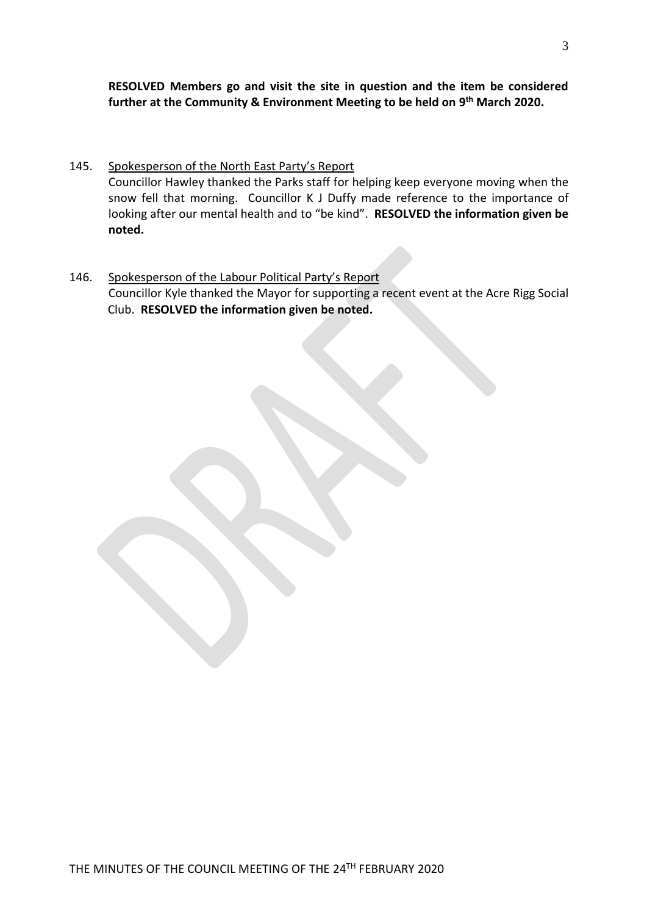**RESOLVED Members go and visit the site in question and the item be considered further at the Community & Environment Meeting to be held on 9 th March 2020.**

- 145. Spokesperson of the North East Party's Report Councillor Hawley thanked the Parks staff for helping keep everyone moving when the snow fell that morning. Councillor K J Duffy made reference to the importance of looking after our mental health and to "be kind". **RESOLVED the information given be noted.**
- 146. Spokesperson of the Labour Political Party's Report Councillor Kyle thanked the Mayor for supporting a recent event at the Acre Rigg Social Club. **RESOLVED the information given be noted.**